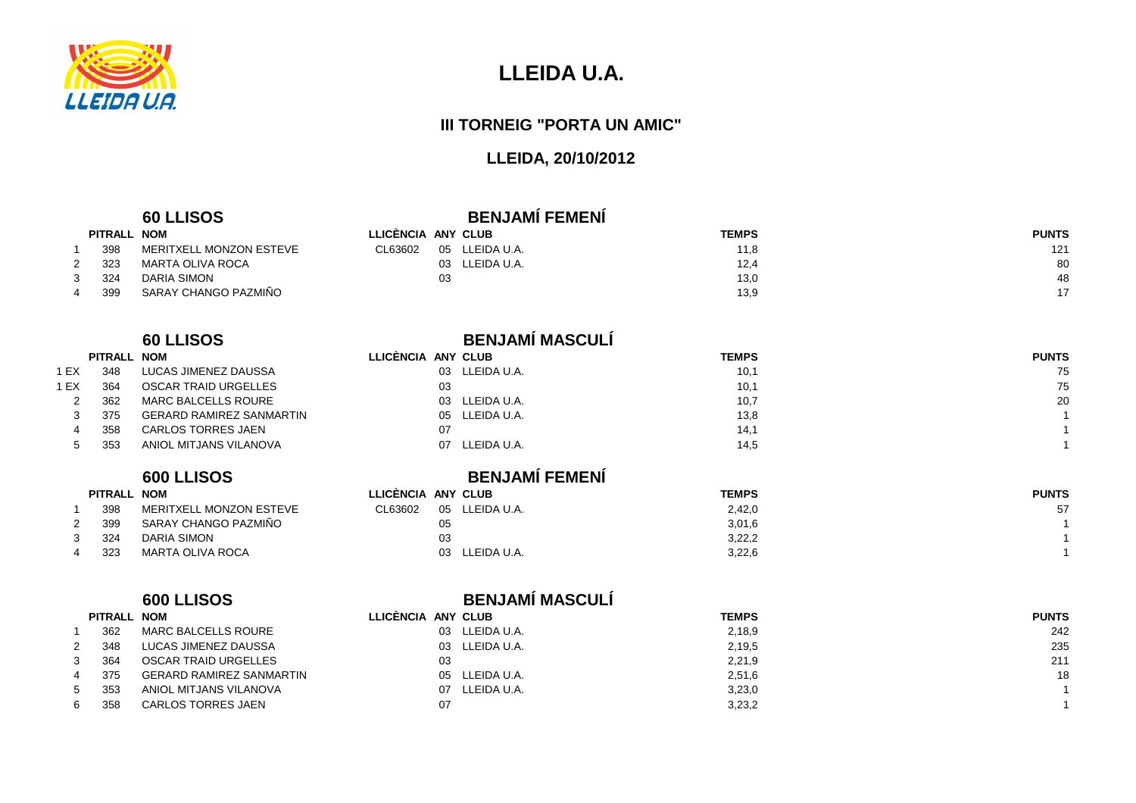

<sup>2</sup> 323 MARTA OLIVA ROCA

3 324

# **LLEIDA U.A.**

#### **III TORNEIG "PORTA UN AMIC"**

## **LLEIDA, 20/10/2012**

#### **60 LLISOS**

| <b>BENJAMI FEMENI</b> |  |
|-----------------------|--|
|                       |  |

| PITRALL NOM |                         | LLICENCIA ANY CLUB |    |             | <b>TEMPS</b> | <b>PUNTS</b> |
|-------------|-------------------------|--------------------|----|-------------|--------------|--------------|
| 398         | MERITXELL MONZON ESTEVE | CL63602            | 05 | LLEIDA U.A. | 11.8         | 121          |
| 323         | MARTA OLIVA ROCA        |                    | 03 | LLEIDA U.A. | 12,4         | 80           |
| 324         | DARIA SIMON             |                    | 03 |             | 13,0         | 48           |
| 399         | SARAY CHANGO PAZMIÑO    |                    |    |             | 13,9         |              |
|             |                         |                    |    |             |              |              |

#### **60 LLISOS**

|      | PITRALL NOM |                                 | LLICÈNCIA AN' |    |
|------|-------------|---------------------------------|---------------|----|
| 1 EX | 348         | LUCAS JIMENEZ DAUSSA            |               | 03 |
| 1 EX | 364         | OSCAR TRAID URGELLES            |               | 03 |
| 2    | 362         | <b>MARC BALCELLS ROURE</b>      |               | 03 |
| 3    | 375         | <b>GERARD RAMIREZ SANMARTIN</b> |               | 05 |
| 4    | 358         | <b>CARLOS TORRES JAEN</b>       |               | 07 |
| 5    | 353         | ANIOL MITJANS VILANOVA          |               | 07 |
|      |             |                                 |               |    |

#### **600 LLISOS**

| <b>PITRALL</b> | <b>NOM</b>              | LLICENCIA ANY CLUB |    |             | <b>TEMPS</b> | <b>PUNTS</b> |
|----------------|-------------------------|--------------------|----|-------------|--------------|--------------|
| 398            | MERITXELL MONZON ESTEVE | CL63602            | 05 | LLEIDA U.A. | 2,42,0       | 57           |
| 399            | SARAY CHANGO PAZMIÑO    |                    | 05 |             | 3,01,6       |              |
| 324            | DARIA SIMON             |                    | 03 |             | 3,22,2       |              |
| 323            | MARTA OLIVA ROCA        |                    |    | LLEIDA U.A. | 3,22,6       |              |

#### **600 LLISOS BENJAMÍ MASCULÍ**

| PITRALL NOM |                                 | LLICENCIA ANY CLUB |                | <b>TEMPS</b> | <b>PUNTS</b> |
|-------------|---------------------------------|--------------------|----------------|--------------|--------------|
| 362         | MARC BALCELLS ROURE             |                    | 03 LLEIDA U.A. | 2,18,9       | 242          |
| 348         | LUCAS JIMENEZ DAUSSA            |                    | 03 LLEIDA U.A. | 2,19,5       | 235          |
| 364         | OSCAR TRAID URGELLES            | 03                 |                | 2,21,9       | 211          |
| 375         | <b>GERARD RAMIREZ SANMARTIN</b> |                    | 05 LLEIDA U.A. | 2,51,6       | 18           |
| 353         | ANIOL MITJANS VILANOVA          | 07.                | LLEIDA U.A.    | 3,23,0       |              |
| 358         | <b>CARLOS TORRES JAEN</b>       | 07                 |                | 3,23,2       |              |

| <b>BENJAMÍ MASCULÍ</b> |
|------------------------|
|                        |

|      | PITRALL NOM |                                 | LLICÈNCIA ANY CLUB |                | <b>TEMPS</b> | <b>PUNTS</b> |
|------|-------------|---------------------------------|--------------------|----------------|--------------|--------------|
| 1 EX | 348         | LUCAS JIMENEZ DAUSSA            |                    | 03 LLEIDA U.A. | 10,1         | 75           |
| I EX | 364         | OSCAR TRAID URGELLES            | 03                 |                | 10,1         | 75           |
|      | 362         | MARC BALCELLS ROURE             |                    | 03 LLEIDA U.A. | 10,7         | 20           |
|      | 375         | <b>GERARD RAMIREZ SANMARTIN</b> |                    | 05 LLEIDA U.A. | 13,8         |              |
|      | 358         | CARLOS TORRES JAEN              | 07                 |                | 14.1         |              |
|      | 353         | ANIOL MITJANS VILANOVA          | 07                 | LLEIDA U.A.    | 14.5         |              |

| <b>BENJAMI FEMENI</b> |  |
|-----------------------|--|
| <b>\NY CLUB</b>       |  |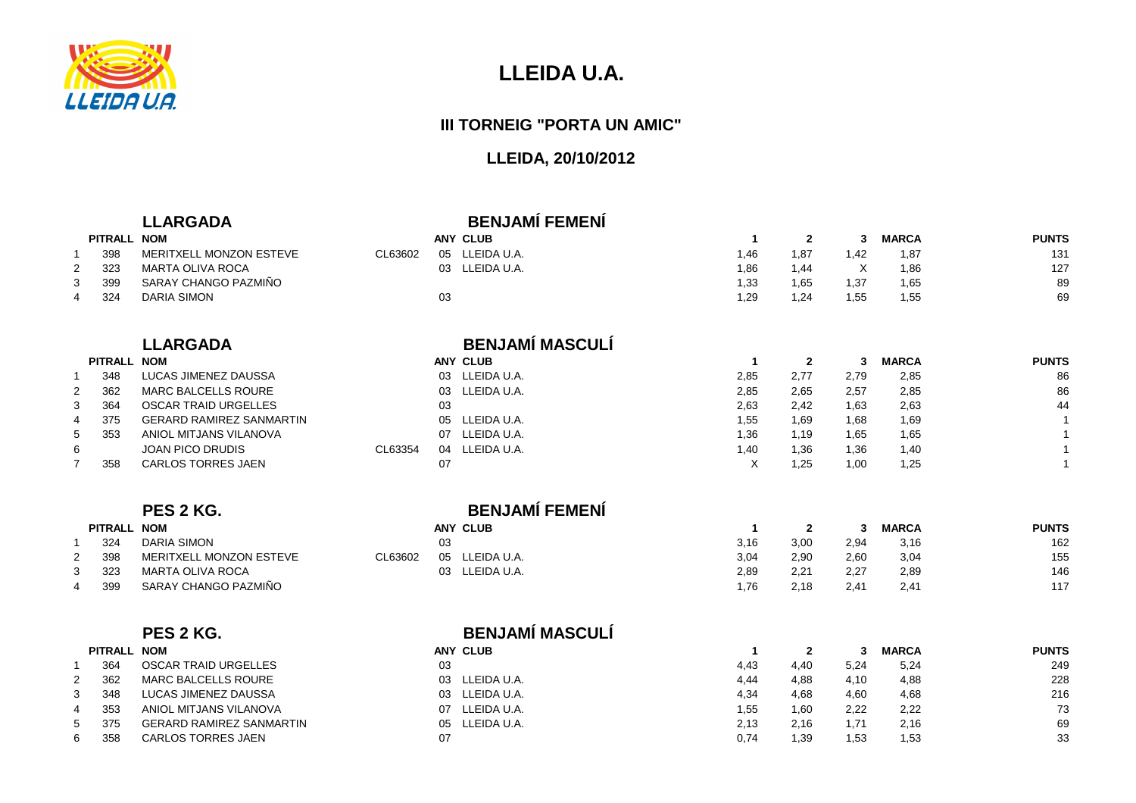

### **III TORNEIG "PORTA UN AMIC"**

|   |             | <b>LLARGADA</b>                 |               | <b>BENJAMÍ FEMENÍ</b>  |                |              |              |              |              |
|---|-------------|---------------------------------|---------------|------------------------|----------------|--------------|--------------|--------------|--------------|
|   | PITRALL NOM |                                 |               | <b>ANY CLUB</b>        | $\mathbf{1}$   | $\mathbf{2}$ | 3            | <b>MARCA</b> | <b>PUNTS</b> |
|   | 398         | MERITXELL MONZON ESTEVE         | CL63602       | 05 LLEIDA U.A.         | 1,46           | 1,87         | 1,42         | 1,87         | 131          |
| 2 | 323         | <b>MARTA OLIVA ROCA</b>         | 03            | LLEIDA U.A.            | 1,86           | 1,44         | $\times$     | 1,86         | 127          |
| 3 | 399         | SARAY CHANGO PAZMIÑO            |               |                        | 1,33           | 1,65         | 1,37         | 1,65         | 89           |
| 4 | 324         | <b>DARIA SIMON</b>              | 03            |                        | 1,29           | 1,24         | 1,55         | 1,55         | 69           |
|   |             | <b>LLARGADA</b>                 |               | <b>BENJAMÍ MASCULÍ</b> |                |              |              |              |              |
|   | PITRALL NOM |                                 |               | <b>ANY CLUB</b>        | $\overline{1}$ | $\mathbf{2}$ | $\mathbf{3}$ | <b>MARCA</b> | <b>PUNTS</b> |
|   | 348         | <b>LUCAS JIMENEZ DAUSSA</b>     |               | 03 LLEIDA U.A.         | 2,85           | 2,77         | 2,79         | 2,85         | 86           |
| 2 | 362         | <b>MARC BALCELLS ROURE</b>      | 03            | LLEIDA U.A.            | 2,85           | 2,65         | 2,57         | 2,85         | 86           |
| 3 | 364         | <b>OSCAR TRAID URGELLES</b>     | 03            |                        | 2,63           | 2,42         | 1,63         | 2,63         | 44           |
| 4 | 375         | <b>GERARD RAMIREZ SANMARTIN</b> | 05            | LLEIDA U.A.            | 1,55           | 1,69         | 1,68         | 1,69         | $\mathbf{1}$ |
| 5 | 353         | ANIOL MITJANS VILANOVA          | 07            | LLEIDA U.A.            | 1,36           | 1,19         | 1,65         | 1,65         | $\mathbf{1}$ |
| 6 |             | <b>JOAN PICO DRUDIS</b>         | CL63354<br>04 | LLEIDA U.A.            | 1,40           | 1,36         | 1,36         | 1,40         | $\mathbf{1}$ |
|   | 358         | <b>CARLOS TORRES JAEN</b>       | 07            |                        | $\times$       | 1,25         | 1,00         | 1,25         | $\mathbf{1}$ |
|   |             | PES 2 KG.                       |               | <b>BENJAMÍ FEMENÍ</b>  |                |              |              |              |              |
|   | PITRALL NOM |                                 |               | <b>ANY CLUB</b>        | $\overline{1}$ | $\mathbf{2}$ | 3            | <b>MARCA</b> | <b>PUNTS</b> |
|   | 324         | <b>DARIA SIMON</b>              | 03            |                        | 3,16           | 3,00         | 2,94         | 3,16         | 162          |
| 2 | 398         | MERITXELL MONZON ESTEVE         | CL63602<br>05 | LLEIDA U.A.            | 3,04           | 2,90         | 2,60         | 3,04         | 155          |
| 3 | 323         | <b>MARTA OLIVA ROCA</b>         | 03            | LLEIDA U.A.            | 2,89           | 2,21         | 2,27         | 2,89         | 146          |
| 4 | 399         | SARAY CHANGO PAZMIÑO            |               |                        | 1,76           | 2,18         | 2,41         | 2,41         | 117          |
|   |             | PES 2 KG.                       |               | <b>BENJAMÍ MASCULÍ</b> |                |              |              |              |              |
|   | PITRALL NOM |                                 |               | <b>ANY CLUB</b>        | $\mathbf{1}$   | $\mathbf{2}$ | 3            | <b>MARCA</b> | <b>PUNTS</b> |
|   | 364         | <b>OSCAR TRAID URGELLES</b>     | 03            |                        | 4,43           | 4,40         | 5,24         | 5,24         | 249          |
| 2 | 362         | <b>MARC BALCELLS ROURE</b>      | 03            | LLEIDA U.A.            | 4,44           | 4,88         | 4,10         | 4,88         | 228          |
| 3 | 348         | <b>LUCAS JIMENEZ DAUSSA</b>     | 03            | LLEIDA U.A.            | 4,34           | 4,68         | 4,60         | 4,68         | 216          |
| 4 | 353         | ANIOL MITJANS VILANOVA          | 07            | LLEIDA U.A.            | 1,55           | 1,60         | 2,22         | 2,22         | 73           |
| 5 | 375         | <b>GERARD RAMIREZ SANMARTIN</b> | 05            | LLEIDA U.A.            | 2,13           | 2,16         | 1,71         | 2,16         | 69           |
| 6 | 358         | CARLOS TORRES JAEN              | 07            |                        | 0,74           | 1,39         | 1,53         | 1,53         | 33           |
|   |             |                                 |               |                        |                |              |              |              |              |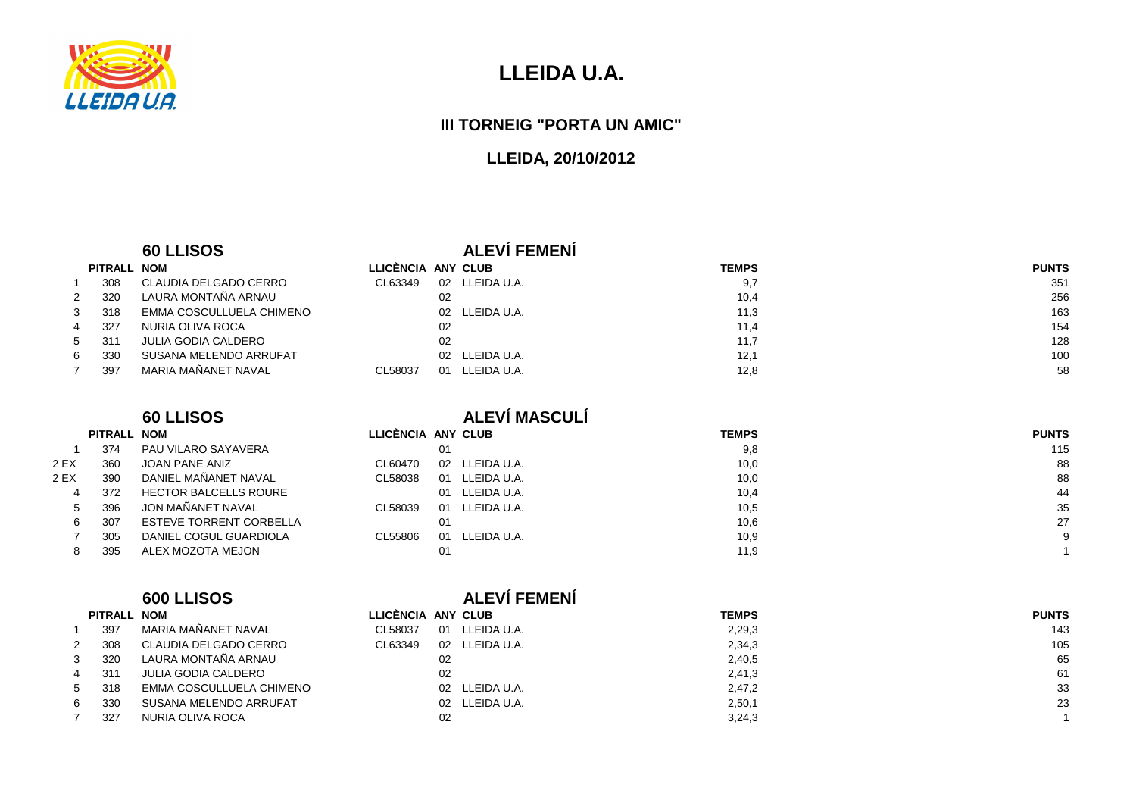

#### **III TORNEIG "PORTA UN AMIC"**

#### **LLEIDA, 20/10/2012**

#### **60 LLISOS ALEVÍ FEMENÍ**

| PITRALL NOM |                            | LLICENCIA ANY CLUB |                | <b>TEMPS</b>        | <b>PUNTS</b> |
|-------------|----------------------------|--------------------|----------------|---------------------|--------------|
| 308         | CLAUDIA DELGADO CERRO      | CL63349            | 02             | LLEIDA U.A.<br>9,7  | 351          |
| 320         | LAURA MONTAÑA ARNAU        |                    | 02             | 10,4                | 256          |
| 318         | EMMA COSCULLUELA CHIMENO   |                    | 02 LLEIDA U.A. | 11,3                | 163          |
| 327         | NURIA OLIVA ROCA           |                    | 02             | 11,4                | 154          |
| 311         | <b>JULIA GODIA CALDERO</b> |                    | 02             | 11,7                | 128          |
| 330         | SUSANA MELENDO ARRUFAT     |                    | 02 LLEIDA U.A. | 12,1                | 100          |
| 397         | MARIA MAÑANET NAVAL        | CL58037            | 01             | LLEIDA U.A.<br>12,8 | 58           |

JOAN PANE ANIZ

6 307 ESTEVE TORRENT CORBELLA

7 305 DANIEL COGUL GUARDIOLA

4 372 HECTOR BALCELLS ROURE

1 374 PAU VILARO SAYAVERA<br>2 EX 360 JOAN PANE ANIZ

2 EX 390 DANIEL MAÑANET NAVAL

5 396 JON MAÑANET NAVAL

8 395 ALEX MOZOTA MEJON

**PITRALL NOM**

## **60 LLISOS ALEVÍ MASCULÍ**

| М                     | LLICÈNCIA ANY CLUB |                    | <b>TEMPS</b> | <b>PUNTS</b> |
|-----------------------|--------------------|--------------------|--------------|--------------|
| U VILARO SAYAVERA     | 01                 |                    | 9,8          | 115          |
| AN PANE ANIZ          | CL60470            | LLEIDA U.A.<br>02  | 10,0         | 88           |
| NIEL MAÑANET NAVAL    | CL58038            | LLEIDA U.A.<br>01  | 10,0         | 88           |
| CTOR BALCELLS ROURE   |                    | LLEIDA U.A.<br>O1. | 10,4         | 44           |
| N MAÑANET NAVAL       | CL58039            | LLEIDA U.A.<br>01  | 10,5         | 35           |
| TEVE TORRENT CORBELLA | 01                 |                    | 10,6         | 27           |
| NIEL COGUL GUARDIOLA  | CL55806            | LLEIDA U.A.<br>01  | 10,9         |              |
| EX MOZOTA MEJON       | 01                 |                    | 11,9         |              |
|                       |                    |                    |              |              |

## **PITRALL NOM**

|              | <b>PIIRALL NUM</b> |                             | LLIVENVIA AN |      |
|--------------|--------------------|-----------------------------|--------------|------|
| $\mathbf{1}$ |                    | 397 MARIA MAÑANET NAVAL     | CL58037 01   |      |
|              |                    | 2 308 CLAUDIA DELGADO CERRO | CL63349      | - 02 |
| $\mathbf{3}$ |                    | 320 LAURA MONTAÑA ARNAU     |              | 02   |
|              |                    | 4 311 JULIA GODIA CALDERO   |              | 02   |

| -5 | 318 | EMMA COSCULLUELA CHIMENO |
|----|-----|--------------------------|
| -6 | 330 | SUSANA MELENDO ARRUFAT   |
| 7  | 327 | NURIA OLIVA ROCA         |

#### **600 LLISOS ALEVÍ FEMENÍ**

| PITRALL NOM |                            | LLICENCIA ANY CLUB |    |                | <b>TEMPS</b> | <b>PUNTS</b> |
|-------------|----------------------------|--------------------|----|----------------|--------------|--------------|
| 397         | MARIA MAÑANET NAVAL        | CL58037            | 01 | LLEIDA U.A.    | 2,29,3       | 143          |
| 308         | CLAUDIA DELGADO CERRO      | CL63349            | 02 | LLEIDA U.A.    | 2,34,3       | 105          |
| 320         | LAURA MONTAÑA ARNAU        |                    | 02 |                | 2,40,5       | 65           |
| 311         | <b>JULIA GODIA CALDERO</b> |                    | 02 |                | 2,41,3       | -61          |
| 318         | EMMA COSCULLUELA CHIMENO   |                    |    | 02 LLEIDA U.A. | 2,47,2       | 33           |
| 330         | SUSANA MELENDO ARRUFAT     |                    |    | 02 LLEIDA U.A. | 2,50,1       | 23           |
| 327         | NURIA OLIVA ROCA           |                    | 02 |                | 3,24,3       |              |
|             |                            |                    |    |                |              |              |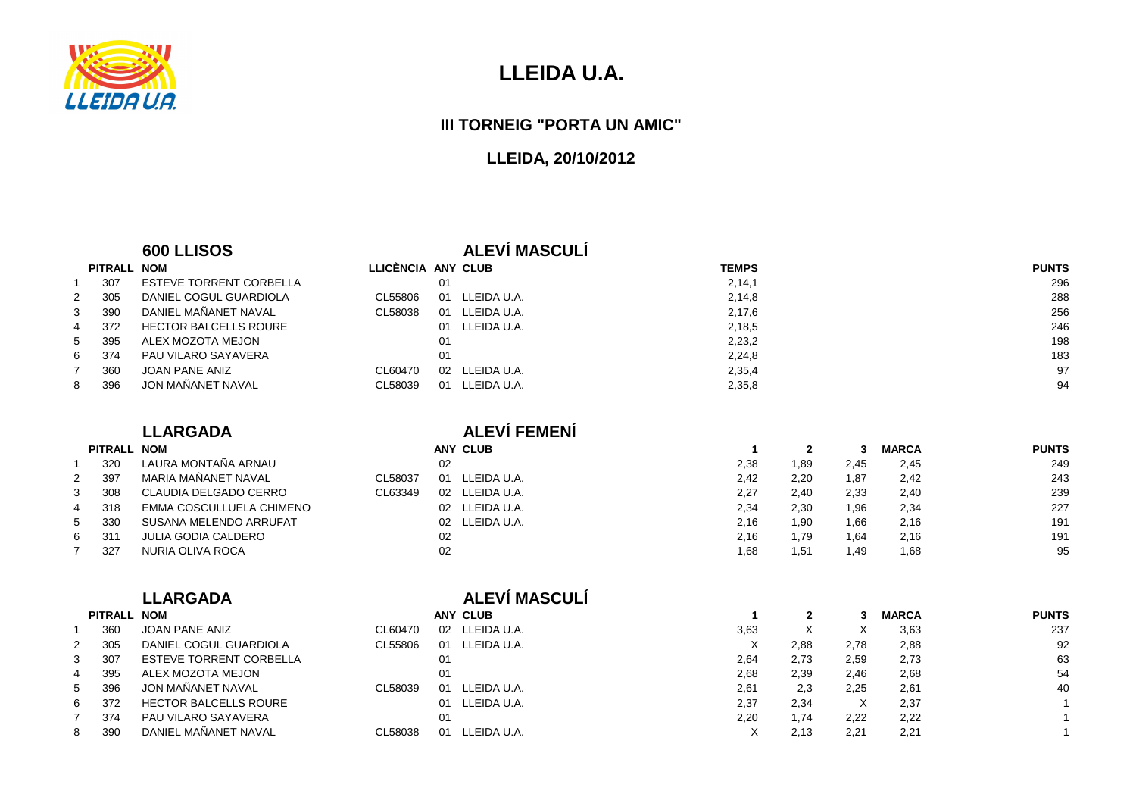

#### **III TORNEIG "PORTA UN AMIC"**

| LLICÈNCIA ANY CLUB<br>PITRALL NOM<br><b>TEMPS</b><br><b>PUNTS</b><br>$\mathbf{1}$<br>307<br><b>ESTEVE TORRENT CORBELLA</b><br>01<br>2, 14, 1<br>296<br><b>DANIEL COGUL GUARDIOLA</b><br>2,14,8<br>305<br>CL55806<br>LLEIDA U.A.<br>288<br>$\overline{2}$<br>01<br>DANIEL MAÑANET NAVAL<br>CL58038<br>3<br>LLEIDA U.A.<br>2,17,6<br>256<br>390<br>01<br><b>HECTOR BALCELLS ROURE</b><br>246<br>372<br>LLEIDA U.A.<br>2,18,5<br>01<br>4<br>ALEX MOZOTA MEJON<br>2,23,2<br>198<br>5<br>395<br>01<br>PAU VILARO SAYAVERA<br>6<br>374<br>01<br>2,24,8<br>183<br><b>JOAN PANE ANIZ</b><br>97<br>$\overline{7}$<br>CL60470<br>LLEIDA U.A.<br>360<br>02<br>2,35,4<br>JON MAÑANET NAVAL<br>94<br>396<br>CL58039<br>LLEIDA U.A.<br>8<br>01<br>2,35,8<br><b>ALEVÍ FEMENÍ</b><br><b>LLARGADA</b><br>PITRALL NOM<br><b>ANY CLUB</b><br><b>MARCA</b><br><b>PUNTS</b><br>$\overline{2}$<br>3<br>-1<br>LAURA MONTAÑA ARNAU<br>320<br>2,38<br>1,89<br>02<br>2,45<br>2,45<br>249<br>$\mathbf{1}$<br>MARIA MAÑANET NAVAL<br>397<br>CL58037<br>LLEIDA U.A.<br>2,42<br>2,20<br>2<br>01<br>1,87<br>2,42<br>243<br>CLAUDIA DELGADO CERRO<br>CL63349<br>2,27<br>3<br>308<br>LLEIDA U.A.<br>2,40<br>2,33<br>2,40<br>239<br>02<br>EMMA COSCULLUELA CHIMENO<br>LLEIDA U.A.<br>2,34<br>227<br>318<br>2,30<br>1,96<br>2,34<br>4<br>02<br>SUSANA MELENDO ARRUFAT<br>330<br>LLEIDA U.A.<br>2,16<br>191<br>5<br>02<br>1,90<br>1,66<br>2,16<br><b>JULIA GODIA CALDERO</b><br>02<br>6<br>311<br>2,16<br>1,79<br>1,64<br>2,16<br>191<br>02<br>95<br>327<br>NURIA OLIVA ROCA<br>$\overline{7}$<br>1,68<br>1,51<br>1,49<br>1,68<br>ALEVÍ MASCULÍ<br><b>LLARGADA</b><br>PITRALL NOM<br><b>ANY CLUB</b><br><b>MARCA</b><br><b>PUNTS</b><br>$\mathbf{2}$<br>3<br>-1<br><b>JOAN PANE ANIZ</b><br>X<br>CL60470<br>LLEIDA U.A.<br>3,63<br>X<br>3,63<br>237<br>360<br>02<br>$\mathbf{1}$<br><b>DANIEL COGUL GUARDIOLA</b><br>CL55806<br>305<br>01<br>LLEIDA U.A.<br>Χ<br>2,88<br>2,78<br>2,88<br>92<br>2<br><b>ESTEVE TORRENT CORBELLA</b><br>63<br>3<br>01<br>2,73<br>2,59<br>2,73<br>307<br>2,64<br>54<br>ALEX MOZOTA MEJON<br>2,68<br>2,39<br>2,46<br>395<br>01<br>2,68<br>4<br>JON MAÑANET NAVAL<br>CL58039<br>LLEIDA U.A.<br>2,3<br>2,25<br>40<br>396<br>01<br>2,61<br>2,61<br>5<br><b>HECTOR BALCELLS ROURE</b><br>LLEIDA U.A.<br>372<br>2,37<br>2,34<br>Χ<br>2,37<br>6<br>01<br>PAU VILARO SAYAVERA<br>2,20<br>374<br>01<br>1,74<br>2,22<br>2,22<br>7 |   |     | 600 LLISOS           |         |    | <b>ALEVÍ MASCULÍ</b> |   |      |      |      |  |
|------------------------------------------------------------------------------------------------------------------------------------------------------------------------------------------------------------------------------------------------------------------------------------------------------------------------------------------------------------------------------------------------------------------------------------------------------------------------------------------------------------------------------------------------------------------------------------------------------------------------------------------------------------------------------------------------------------------------------------------------------------------------------------------------------------------------------------------------------------------------------------------------------------------------------------------------------------------------------------------------------------------------------------------------------------------------------------------------------------------------------------------------------------------------------------------------------------------------------------------------------------------------------------------------------------------------------------------------------------------------------------------------------------------------------------------------------------------------------------------------------------------------------------------------------------------------------------------------------------------------------------------------------------------------------------------------------------------------------------------------------------------------------------------------------------------------------------------------------------------------------------------------------------------------------------------------------------------------------------------------------------------------------------------------------------------------------------------------------------------------------------------------------------------------------------------------------------------------------------------------------------------------------------------------------------------------------------------------------------------------------------------------------------------|---|-----|----------------------|---------|----|----------------------|---|------|------|------|--|
|                                                                                                                                                                                                                                                                                                                                                                                                                                                                                                                                                                                                                                                                                                                                                                                                                                                                                                                                                                                                                                                                                                                                                                                                                                                                                                                                                                                                                                                                                                                                                                                                                                                                                                                                                                                                                                                                                                                                                                                                                                                                                                                                                                                                                                                                                                                                                                                                                  |   |     |                      |         |    |                      |   |      |      |      |  |
|                                                                                                                                                                                                                                                                                                                                                                                                                                                                                                                                                                                                                                                                                                                                                                                                                                                                                                                                                                                                                                                                                                                                                                                                                                                                                                                                                                                                                                                                                                                                                                                                                                                                                                                                                                                                                                                                                                                                                                                                                                                                                                                                                                                                                                                                                                                                                                                                                  |   |     |                      |         |    |                      |   |      |      |      |  |
|                                                                                                                                                                                                                                                                                                                                                                                                                                                                                                                                                                                                                                                                                                                                                                                                                                                                                                                                                                                                                                                                                                                                                                                                                                                                                                                                                                                                                                                                                                                                                                                                                                                                                                                                                                                                                                                                                                                                                                                                                                                                                                                                                                                                                                                                                                                                                                                                                  |   |     |                      |         |    |                      |   |      |      |      |  |
|                                                                                                                                                                                                                                                                                                                                                                                                                                                                                                                                                                                                                                                                                                                                                                                                                                                                                                                                                                                                                                                                                                                                                                                                                                                                                                                                                                                                                                                                                                                                                                                                                                                                                                                                                                                                                                                                                                                                                                                                                                                                                                                                                                                                                                                                                                                                                                                                                  |   |     |                      |         |    |                      |   |      |      |      |  |
|                                                                                                                                                                                                                                                                                                                                                                                                                                                                                                                                                                                                                                                                                                                                                                                                                                                                                                                                                                                                                                                                                                                                                                                                                                                                                                                                                                                                                                                                                                                                                                                                                                                                                                                                                                                                                                                                                                                                                                                                                                                                                                                                                                                                                                                                                                                                                                                                                  |   |     |                      |         |    |                      |   |      |      |      |  |
|                                                                                                                                                                                                                                                                                                                                                                                                                                                                                                                                                                                                                                                                                                                                                                                                                                                                                                                                                                                                                                                                                                                                                                                                                                                                                                                                                                                                                                                                                                                                                                                                                                                                                                                                                                                                                                                                                                                                                                                                                                                                                                                                                                                                                                                                                                                                                                                                                  |   |     |                      |         |    |                      |   |      |      |      |  |
|                                                                                                                                                                                                                                                                                                                                                                                                                                                                                                                                                                                                                                                                                                                                                                                                                                                                                                                                                                                                                                                                                                                                                                                                                                                                                                                                                                                                                                                                                                                                                                                                                                                                                                                                                                                                                                                                                                                                                                                                                                                                                                                                                                                                                                                                                                                                                                                                                  |   |     |                      |         |    |                      |   |      |      |      |  |
|                                                                                                                                                                                                                                                                                                                                                                                                                                                                                                                                                                                                                                                                                                                                                                                                                                                                                                                                                                                                                                                                                                                                                                                                                                                                                                                                                                                                                                                                                                                                                                                                                                                                                                                                                                                                                                                                                                                                                                                                                                                                                                                                                                                                                                                                                                                                                                                                                  |   |     |                      |         |    |                      |   |      |      |      |  |
|                                                                                                                                                                                                                                                                                                                                                                                                                                                                                                                                                                                                                                                                                                                                                                                                                                                                                                                                                                                                                                                                                                                                                                                                                                                                                                                                                                                                                                                                                                                                                                                                                                                                                                                                                                                                                                                                                                                                                                                                                                                                                                                                                                                                                                                                                                                                                                                                                  |   |     |                      |         |    |                      |   |      |      |      |  |
|                                                                                                                                                                                                                                                                                                                                                                                                                                                                                                                                                                                                                                                                                                                                                                                                                                                                                                                                                                                                                                                                                                                                                                                                                                                                                                                                                                                                                                                                                                                                                                                                                                                                                                                                                                                                                                                                                                                                                                                                                                                                                                                                                                                                                                                                                                                                                                                                                  |   |     |                      |         |    |                      |   |      |      |      |  |
|                                                                                                                                                                                                                                                                                                                                                                                                                                                                                                                                                                                                                                                                                                                                                                                                                                                                                                                                                                                                                                                                                                                                                                                                                                                                                                                                                                                                                                                                                                                                                                                                                                                                                                                                                                                                                                                                                                                                                                                                                                                                                                                                                                                                                                                                                                                                                                                                                  |   |     |                      |         |    |                      |   |      |      |      |  |
|                                                                                                                                                                                                                                                                                                                                                                                                                                                                                                                                                                                                                                                                                                                                                                                                                                                                                                                                                                                                                                                                                                                                                                                                                                                                                                                                                                                                                                                                                                                                                                                                                                                                                                                                                                                                                                                                                                                                                                                                                                                                                                                                                                                                                                                                                                                                                                                                                  |   |     |                      |         |    |                      |   |      |      |      |  |
|                                                                                                                                                                                                                                                                                                                                                                                                                                                                                                                                                                                                                                                                                                                                                                                                                                                                                                                                                                                                                                                                                                                                                                                                                                                                                                                                                                                                                                                                                                                                                                                                                                                                                                                                                                                                                                                                                                                                                                                                                                                                                                                                                                                                                                                                                                                                                                                                                  |   |     |                      |         |    |                      |   |      |      |      |  |
|                                                                                                                                                                                                                                                                                                                                                                                                                                                                                                                                                                                                                                                                                                                                                                                                                                                                                                                                                                                                                                                                                                                                                                                                                                                                                                                                                                                                                                                                                                                                                                                                                                                                                                                                                                                                                                                                                                                                                                                                                                                                                                                                                                                                                                                                                                                                                                                                                  |   |     |                      |         |    |                      |   |      |      |      |  |
|                                                                                                                                                                                                                                                                                                                                                                                                                                                                                                                                                                                                                                                                                                                                                                                                                                                                                                                                                                                                                                                                                                                                                                                                                                                                                                                                                                                                                                                                                                                                                                                                                                                                                                                                                                                                                                                                                                                                                                                                                                                                                                                                                                                                                                                                                                                                                                                                                  |   |     |                      |         |    |                      |   |      |      |      |  |
|                                                                                                                                                                                                                                                                                                                                                                                                                                                                                                                                                                                                                                                                                                                                                                                                                                                                                                                                                                                                                                                                                                                                                                                                                                                                                                                                                                                                                                                                                                                                                                                                                                                                                                                                                                                                                                                                                                                                                                                                                                                                                                                                                                                                                                                                                                                                                                                                                  |   |     |                      |         |    |                      |   |      |      |      |  |
|                                                                                                                                                                                                                                                                                                                                                                                                                                                                                                                                                                                                                                                                                                                                                                                                                                                                                                                                                                                                                                                                                                                                                                                                                                                                                                                                                                                                                                                                                                                                                                                                                                                                                                                                                                                                                                                                                                                                                                                                                                                                                                                                                                                                                                                                                                                                                                                                                  |   |     |                      |         |    |                      |   |      |      |      |  |
|                                                                                                                                                                                                                                                                                                                                                                                                                                                                                                                                                                                                                                                                                                                                                                                                                                                                                                                                                                                                                                                                                                                                                                                                                                                                                                                                                                                                                                                                                                                                                                                                                                                                                                                                                                                                                                                                                                                                                                                                                                                                                                                                                                                                                                                                                                                                                                                                                  |   |     |                      |         |    |                      |   |      |      |      |  |
|                                                                                                                                                                                                                                                                                                                                                                                                                                                                                                                                                                                                                                                                                                                                                                                                                                                                                                                                                                                                                                                                                                                                                                                                                                                                                                                                                                                                                                                                                                                                                                                                                                                                                                                                                                                                                                                                                                                                                                                                                                                                                                                                                                                                                                                                                                                                                                                                                  |   |     |                      |         |    |                      |   |      |      |      |  |
|                                                                                                                                                                                                                                                                                                                                                                                                                                                                                                                                                                                                                                                                                                                                                                                                                                                                                                                                                                                                                                                                                                                                                                                                                                                                                                                                                                                                                                                                                                                                                                                                                                                                                                                                                                                                                                                                                                                                                                                                                                                                                                                                                                                                                                                                                                                                                                                                                  |   |     |                      |         |    |                      |   |      |      |      |  |
|                                                                                                                                                                                                                                                                                                                                                                                                                                                                                                                                                                                                                                                                                                                                                                                                                                                                                                                                                                                                                                                                                                                                                                                                                                                                                                                                                                                                                                                                                                                                                                                                                                                                                                                                                                                                                                                                                                                                                                                                                                                                                                                                                                                                                                                                                                                                                                                                                  |   |     |                      |         |    |                      |   |      |      |      |  |
|                                                                                                                                                                                                                                                                                                                                                                                                                                                                                                                                                                                                                                                                                                                                                                                                                                                                                                                                                                                                                                                                                                                                                                                                                                                                                                                                                                                                                                                                                                                                                                                                                                                                                                                                                                                                                                                                                                                                                                                                                                                                                                                                                                                                                                                                                                                                                                                                                  |   |     |                      |         |    |                      |   |      |      |      |  |
|                                                                                                                                                                                                                                                                                                                                                                                                                                                                                                                                                                                                                                                                                                                                                                                                                                                                                                                                                                                                                                                                                                                                                                                                                                                                                                                                                                                                                                                                                                                                                                                                                                                                                                                                                                                                                                                                                                                                                                                                                                                                                                                                                                                                                                                                                                                                                                                                                  |   |     |                      |         |    |                      |   |      |      |      |  |
|                                                                                                                                                                                                                                                                                                                                                                                                                                                                                                                                                                                                                                                                                                                                                                                                                                                                                                                                                                                                                                                                                                                                                                                                                                                                                                                                                                                                                                                                                                                                                                                                                                                                                                                                                                                                                                                                                                                                                                                                                                                                                                                                                                                                                                                                                                                                                                                                                  |   |     |                      |         |    |                      |   |      |      |      |  |
|                                                                                                                                                                                                                                                                                                                                                                                                                                                                                                                                                                                                                                                                                                                                                                                                                                                                                                                                                                                                                                                                                                                                                                                                                                                                                                                                                                                                                                                                                                                                                                                                                                                                                                                                                                                                                                                                                                                                                                                                                                                                                                                                                                                                                                                                                                                                                                                                                  |   |     |                      |         |    |                      |   |      |      |      |  |
|                                                                                                                                                                                                                                                                                                                                                                                                                                                                                                                                                                                                                                                                                                                                                                                                                                                                                                                                                                                                                                                                                                                                                                                                                                                                                                                                                                                                                                                                                                                                                                                                                                                                                                                                                                                                                                                                                                                                                                                                                                                                                                                                                                                                                                                                                                                                                                                                                  |   |     |                      |         |    |                      |   |      |      |      |  |
|                                                                                                                                                                                                                                                                                                                                                                                                                                                                                                                                                                                                                                                                                                                                                                                                                                                                                                                                                                                                                                                                                                                                                                                                                                                                                                                                                                                                                                                                                                                                                                                                                                                                                                                                                                                                                                                                                                                                                                                                                                                                                                                                                                                                                                                                                                                                                                                                                  |   |     |                      |         |    |                      |   |      |      |      |  |
|                                                                                                                                                                                                                                                                                                                                                                                                                                                                                                                                                                                                                                                                                                                                                                                                                                                                                                                                                                                                                                                                                                                                                                                                                                                                                                                                                                                                                                                                                                                                                                                                                                                                                                                                                                                                                                                                                                                                                                                                                                                                                                                                                                                                                                                                                                                                                                                                                  |   |     |                      |         |    |                      |   |      |      |      |  |
|                                                                                                                                                                                                                                                                                                                                                                                                                                                                                                                                                                                                                                                                                                                                                                                                                                                                                                                                                                                                                                                                                                                                                                                                                                                                                                                                                                                                                                                                                                                                                                                                                                                                                                                                                                                                                                                                                                                                                                                                                                                                                                                                                                                                                                                                                                                                                                                                                  | 8 | 390 | DANIEL MAÑANET NAVAL | CL58038 | 01 | LLEIDA U.A.          | X | 2,13 | 2.21 | 2.21 |  |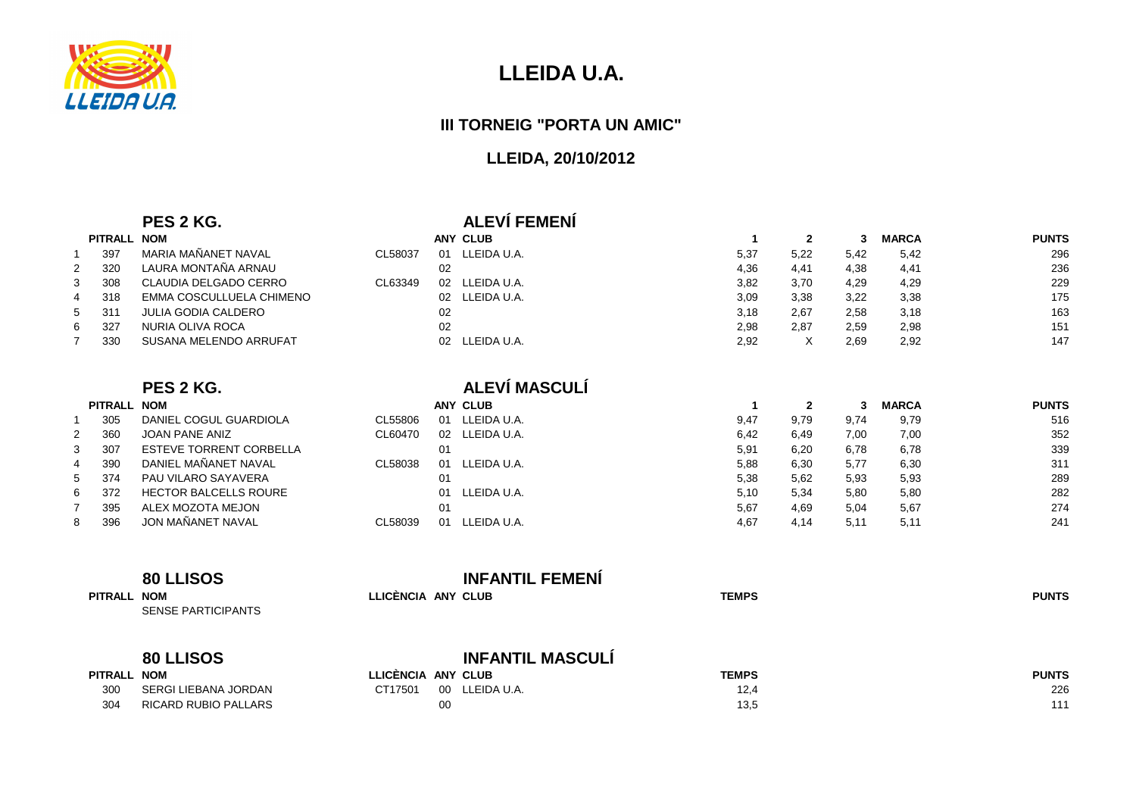

**PITRALL NOM**

# **LLEIDA U.A.**

#### **III TORNEIG "PORTA UN AMIC"**

## **LLEIDA, 20/10/2012**

### **PES 2 KG. ALEVÍ FEMENÍ**

**ALEVÍ MASCULÍ**

|             | PITRALL NOM |                            |         |    | <b>ANY CLUB</b> |      |      |      | <b>MARCA</b> | <b>PUNTS</b> |
|-------------|-------------|----------------------------|---------|----|-----------------|------|------|------|--------------|--------------|
|             | 397         | MARIA MAÑANET NAVAL        | CL58037 | 01 | LLEIDA U.A.     | 5,37 | 5,22 | 5,42 | 5,42         | 296          |
| $2^{\circ}$ | 320         | LAURA MONTAÑA ARNAU        |         | 02 |                 | 4,36 | 4,41 | 4.38 | 4.41         | 236          |
| 3           | 308         | CLAUDIA DELGADO CERRO      | CL63349 | 02 | LLEIDA U.A.     | 3,82 | 3,70 | 4,29 | 4,29         | 229          |
| 4           | 318         | EMMA COSCULLUELA CHIMENO   |         |    | 02 LLEIDA U.A.  | 3,09 | 3,38 | 3,22 | 3,38         | 175          |
|             | 5 311       | <b>JULIA GODIA CALDERO</b> |         | 02 |                 | 3.18 | 2.67 | 2.58 | 3,18         | 163          |
| 6           | 327         | NURIA OLIVA ROCA           |         | 02 |                 | 2,98 | 2,87 | 2,59 | 2,98         | 151          |
|             | 330         | SUSANA MELENDO ARRUFAT     |         |    | 02 LLEIDA U.A.  | 2,92 |      | 2.69 | 2,92         | 147          |

#### **PES 2 KG.**

|              | <b>PITRALL</b> | <b>NOM</b>                     |         |    | ANY CLUB    |      |      |      | <b>MARCA</b> | <b>PUNTS</b> |
|--------------|----------------|--------------------------------|---------|----|-------------|------|------|------|--------------|--------------|
|              | 305            | DANIEL COGUL GUARDIOLA         | CL55806 | 01 | LLEIDA U.A. | 9,47 | 9,79 | 9,74 | 9,79         | 516          |
| $\mathbf{2}$ | 360            | JOAN PANE ANIZ                 | CL60470 | 02 | LLEIDA U.A. | 6,42 | 6,49 | 7,00 | 7,00         | 352          |
| 3            | 307            | <b>ESTEVE TORRENT CORBELLA</b> |         | 01 |             | 5,91 | 6,20 | 6,78 | 6,78         | 339          |
| 4            | 390            | DANIEL MAÑANET NAVAL           | CL58038 | 01 | LLEIDA U.A. | 5,88 | 6,30 | 5,77 | 6,30         | 311          |
|              | 5 374          | PAU VILARO SAYAVERA            |         | 01 |             | 5,38 | 5,62 | 5,93 | 5,93         | 289          |
| 6            | -372           | <b>HECTOR BALCELLS ROURE</b>   |         | 01 | LLEIDA U.A. | 5,10 | 5,34 | 5,80 | 5,80         | 282          |
|              | 395            | ALEX MOZOTA MEJON              |         | 01 |             | 5,67 | 4,69 | 5,04 | 5,67         | 274          |
| 8            | 396            | JON MAÑANET NAVAL              | CL58039 | 01 | LEIDA U.A.  | 4,67 | 4,14 | 5,11 | 5,11         | 241          |

|                    | <b>80 LLISOS</b>                                 |                                                                                                                                                                                                                                                                                                                                                          | <b>INFANTIL FEMENI</b>  |              |              |
|--------------------|--------------------------------------------------|----------------------------------------------------------------------------------------------------------------------------------------------------------------------------------------------------------------------------------------------------------------------------------------------------------------------------------------------------------|-------------------------|--------------|--------------|
| PITRALL NOM        | <b>SENSE PARTICIPANTS</b>                        | LLICENCIA ANY CLUB                                                                                                                                                                                                                                                                                                                                       |                         | <b>TEMPS</b> | <b>PUNTS</b> |
|                    | <b>80 LLISOS</b>                                 |                                                                                                                                                                                                                                                                                                                                                          | <b>INFANTIL MASCULÍ</b> |              |              |
| <b>PITRALL NOM</b> |                                                  | LLICÈNCIA ANY CLUB                                                                                                                                                                                                                                                                                                                                       |                         | <b>TEMPS</b> | <b>PUNTS</b> |
| $\sim$ $\sim$      | $\begin{array}{c} \n 0 \\ 0 \\ 0 \\ \end{array}$ | $\sigma$ $\tau$ $\tau$ $\tau$ $\sigma$ , $\sigma$ , $\tau$ $\tau$ $\tau$ , $\tau$ , $\tau$ , $\tau$ , $\tau$ , $\tau$ , $\tau$ , $\tau$ , $\tau$ , $\tau$ , $\tau$ , $\tau$ , $\tau$ , $\tau$ , $\tau$ , $\tau$ , $\tau$ , $\tau$ , $\tau$ , $\tau$ , $\tau$ , $\tau$ , $\tau$ , $\tau$ , $\tau$ , $\tau$ , $\tau$ , $\tau$ , $\tau$ , $\tau$ , $\tau$ , |                         | $\sim$       | $\sim$       |

| IIRALL NUM |                      | LLIVENVIA ANI VLUD |                | IEMFJ | <b>FUNIJ</b> |
|------------|----------------------|--------------------|----------------|-------|--------------|
| 300        | SERGI LIEBANA JORDAN | CT17501            | 00 LLEIDA U.A. | 12.4  | 226          |
| 304        | RICARD RUBIO PALLARS |                    |                | 13.5  |              |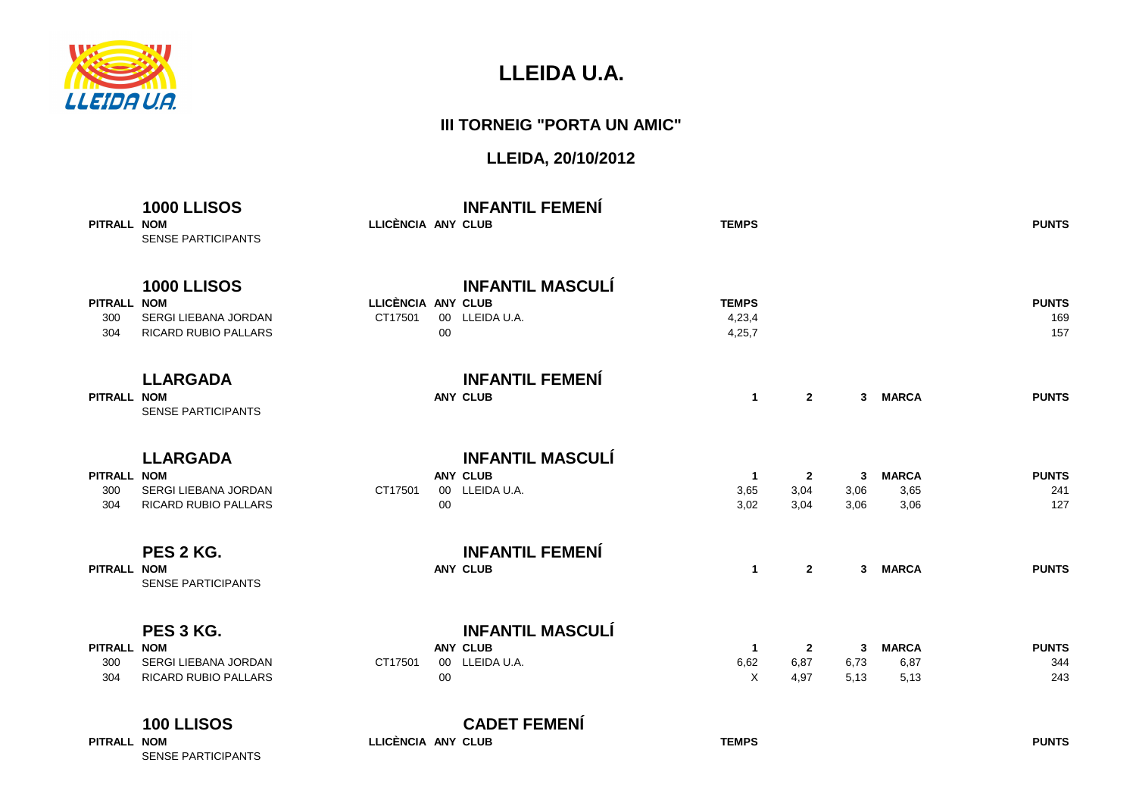

#### **III TORNEIG "PORTA UN AMIC"**

| PITRALL NOM               | <b>1000 LLISOS</b><br><b>SENSE PARTICIPANTS</b>                           | LLICÈNCIA ANY CLUB            |        | <b>INFANTIL FEMENÍ</b>                                       | <b>TEMPS</b>                     |                                                            |                   |                              | <b>PUNTS</b>               |
|---------------------------|---------------------------------------------------------------------------|-------------------------------|--------|--------------------------------------------------------------|----------------------------------|------------------------------------------------------------|-------------------|------------------------------|----------------------------|
| PITRALL NOM<br>300<br>304 | <b>1000 LLISOS</b><br>SERGI LIEBANA JORDAN<br><b>RICARD RUBIO PALLARS</b> | LLICÈNCIA ANY CLUB<br>CT17501 | $00\,$ | <b>INFANTIL MASCULÍ</b><br>00 LLEIDA U.A.                    | <b>TEMPS</b><br>4,23,4<br>4,25,7 |                                                            |                   |                              | <b>PUNTS</b><br>169<br>157 |
| PITRALL NOM               | <b>LLARGADA</b><br><b>SENSE PARTICIPANTS</b>                              |                               |        | <b>INFANTIL FEMENÍ</b><br><b>ANY CLUB</b>                    |                                  | $2^{\circ}$<br>$\mathbf{1}$                                | 3                 | <b>MARCA</b>                 | <b>PUNTS</b>               |
| PITRALL NOM<br>300<br>304 | <b>LLARGADA</b><br>SERGI LIEBANA JORDAN<br>RICARD RUBIO PALLARS           | CT17501                       | 00     | <b>INFANTIL MASCULÍ</b><br><b>ANY CLUB</b><br>00 LLEIDA U.A. | 3,65<br>3,02                     | $\mathbf{2}$<br>$\overline{1}$<br>3,04<br>3,04             | 3<br>3,06<br>3,06 | <b>MARCA</b><br>3,65<br>3,06 | <b>PUNTS</b><br>241<br>127 |
| PITRALL NOM               | PES 2 KG.<br><b>SENSE PARTICIPANTS</b>                                    |                               |        | <b>INFANTIL FEMENÍ</b><br><b>ANY CLUB</b>                    |                                  | $\mathbf{2}$<br>$\mathbf{1}$                               | $\mathbf{3}$      | <b>MARCA</b>                 | <b>PUNTS</b>               |
| PITRALL NOM<br>300<br>304 | PES 3 KG.<br>SERGI LIEBANA JORDAN<br><b>RICARD RUBIO PALLARS</b>          | CT17501                       | 00     | <b>INFANTIL MASCULÍ</b><br><b>ANY CLUB</b><br>00 LLEIDA U.A. | 6,62                             | $\mathbf{2}$<br>$\overline{1}$<br>6,87<br>$\times$<br>4,97 | 3<br>6,73<br>5,13 | <b>MARCA</b><br>6,87<br>5,13 | <b>PUNTS</b><br>344<br>243 |
| PITRALL NOM               | 100 LLISOS<br><b>SENSE PARTICIPANTS</b>                                   | LLICÈNCIA ANY CLUB            |        | <b>CADET FEMENÍ</b>                                          | <b>TEMPS</b>                     |                                                            |                   |                              | <b>PUNTS</b>               |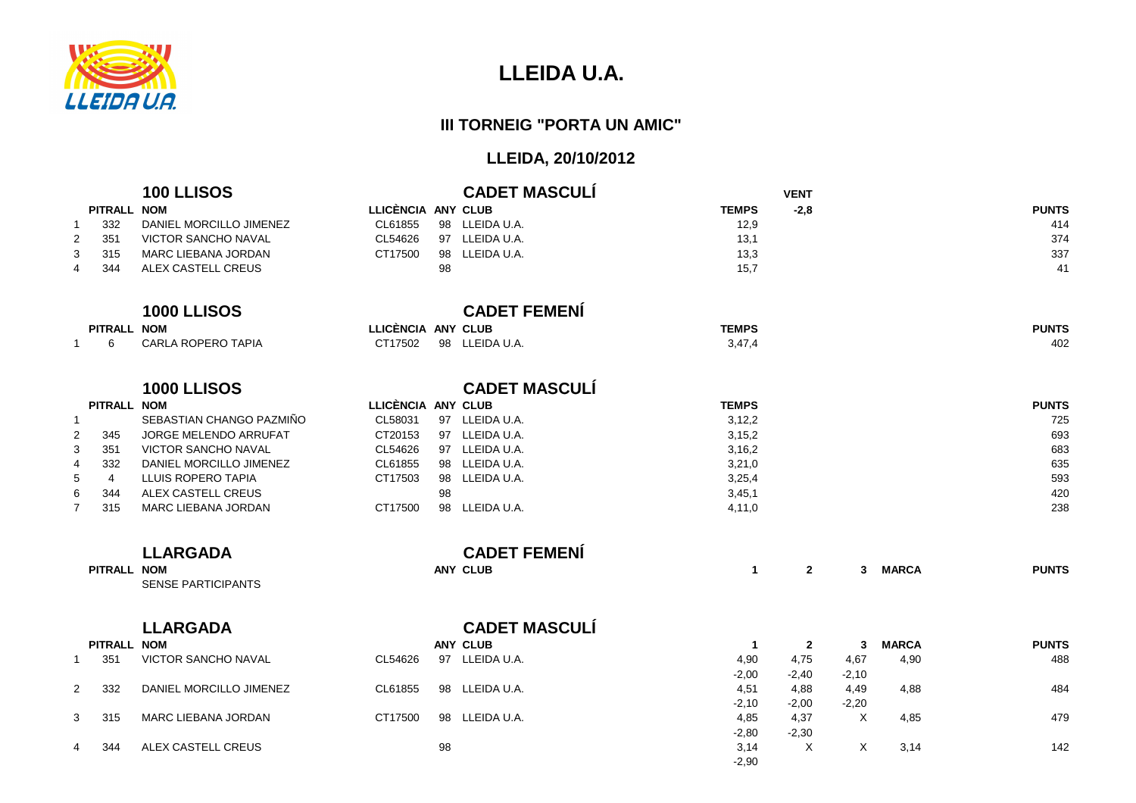

#### **III TORNEIG "PORTA UN AMIC"**

|                      |                | 100 LLISOS                 |                    |    | <b>CADET MASCULÍ</b> |              | <b>VENT</b>  |                |              |              |
|----------------------|----------------|----------------------------|--------------------|----|----------------------|--------------|--------------|----------------|--------------|--------------|
|                      | PITRALL NOM    |                            | LLICÈNCIA ANY CLUB |    |                      | <b>TEMPS</b> | $-2,8$       |                |              | <b>PUNTS</b> |
| -1                   | 332            | DANIEL MORCILLO JIMENEZ    | CL61855            |    | 98 LLEIDA U.A.       | 12,9         |              |                |              | 414          |
| 2                    | 351            | <b>VICTOR SANCHO NAVAL</b> | CL54626            |    | 97 LLEIDA U.A.       | 13,1         |              |                |              | 374          |
| 3                    | 315            | MARC LIEBANA JORDAN        | CT17500            |    | 98 LLEIDA U.A.       | 13,3         |              |                |              | 337          |
|                      | 344            | <b>ALEX CASTELL CREUS</b>  |                    | 98 |                      | 15,7         |              |                |              | 41           |
|                      |                |                            |                    |    |                      |              |              |                |              |              |
|                      |                | <b>1000 LLISOS</b>         |                    |    | <b>CADET FEMENÍ</b>  |              |              |                |              |              |
|                      |                |                            |                    |    |                      |              |              |                |              |              |
|                      | PITRALL NOM    |                            | LLICÈNCIA ANY CLUB |    |                      | <b>TEMPS</b> |              |                |              | <b>PUNTS</b> |
| -1                   | 6              | <b>CARLA ROPERO TAPIA</b>  | CT17502            |    | 98 LLEIDA U.A.       | 3,47,4       |              |                |              | 402          |
|                      |                |                            |                    |    |                      |              |              |                |              |              |
|                      |                | <b>1000 LLISOS</b>         |                    |    | <b>CADET MASCULÍ</b> |              |              |                |              |              |
|                      | PITRALL NOM    |                            | LLICÈNCIA ANY CLUB |    |                      | <b>TEMPS</b> |              |                |              | <b>PUNTS</b> |
| -1                   |                | SEBASTIAN CHANGO PAZMIÑO   | CL58031            |    | 97 LLEIDA U.A.       | 3,12,2       |              |                |              | 725          |
| 2                    | 345            | JORGE MELENDO ARRUFAT      | CT20153            |    | 97 LLEIDA U.A.       | 3, 15, 2     |              |                |              | 693          |
| 3                    | 351            | <b>VICTOR SANCHO NAVAL</b> | CL54626            |    | 97 LLEIDA U.A.       | 3,16,2       |              |                |              | 683          |
| 4                    | 332            | DANIEL MORCILLO JIMENEZ    | CL61855            |    | 98 LLEIDA U.A.       | 3,21,0       |              |                |              | 635          |
| 5                    | $\overline{4}$ | LLUIS ROPERO TAPIA         | CT17503            |    | 98 LLEIDA U.A.       | 3,25,4       |              |                |              | 593          |
| 6                    | 344            | ALEX CASTELL CREUS         |                    | 98 |                      | 3,45,1       |              |                |              | 420          |
| $\overline{7}$       | 315            | <b>MARC LIEBANA JORDAN</b> | CT17500            |    | 98 LLEIDA U.A.       | 4,11,0       |              |                |              | 238          |
|                      |                | <b>LLARGADA</b>            |                    |    | <b>CADET FEMENÍ</b>  |              |              |                |              |              |
|                      | PITRALL NOM    |                            |                    |    | <b>ANY CLUB</b>      | $\mathbf{1}$ | $\mathbf{2}$ | 3 <sup>1</sup> | <b>MARCA</b> | <b>PUNTS</b> |
|                      |                | <b>SENSE PARTICIPANTS</b>  |                    |    |                      |              |              |                |              |              |
|                      |                |                            |                    |    |                      |              |              |                |              |              |
|                      |                | <b>LLARGADA</b>            |                    |    | <b>CADET MASCULÍ</b> |              |              |                |              |              |
|                      | PITRALL NOM    |                            |                    |    | <b>ANY CLUB</b>      | $\mathbf 1$  | $\mathbf{2}$ | $3^{\circ}$    | <b>MARCA</b> | <b>PUNTS</b> |
| $\mathbf{1}$         | 351            | VICTOR SANCHO NAVAL        | CL54626            |    | 97 LLEIDA U.A.       | 4,90         | 4,75         | 4,67           | 4,90         | 488          |
|                      |                |                            |                    |    |                      | $-2,00$      | $-2,40$      | $-2,10$        |              |              |
| $\mathbf{2}^{\circ}$ | 332            | DANIEL MORCILLO JIMENEZ    | CL61855            |    | 98 LLEIDA U.A.       | 4,51         | 4,88         | 4,49           | 4,88         | 484          |
|                      |                |                            |                    |    |                      | $-2,10$      | $-2,00$      | $-2,20$        |              |              |
| 3                    | 315            | <b>MARC LIEBANA JORDAN</b> | CT17500            |    | 98 LLEIDA U.A.       | 4,85         | 4,37         | $\times$       | 4,85         | 479          |
|                      |                |                            |                    |    |                      | $-2,80$      | $-2,30$      |                |              |              |
| 4                    | 344            | ALEX CASTELL CREUS         |                    | 98 |                      | 3,14         | $\times$     | X              | 3,14         | 142          |
|                      |                |                            |                    |    |                      | $-2,90$      |              |                |              |              |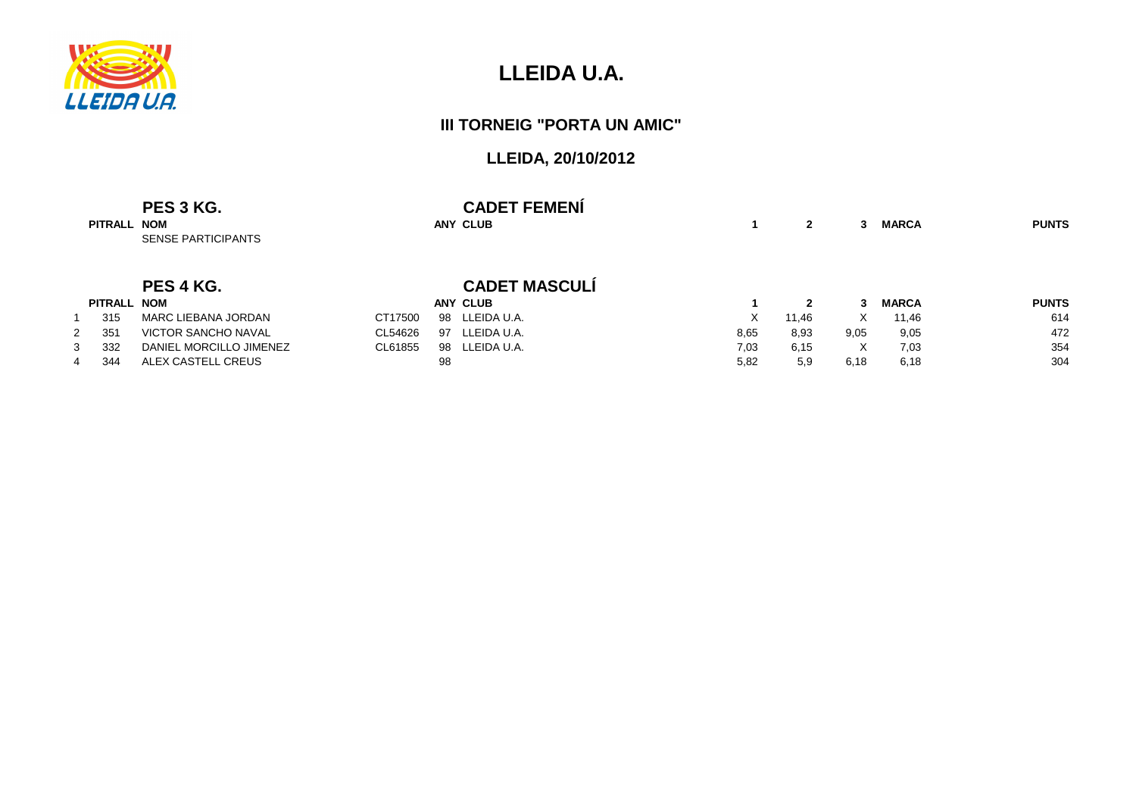

#### **III TORNEIG "PORTA UN AMIC"**

| PITRALL NOM | PES 3 KG.<br><b>SENSE PARTICIPANTS</b> |               | <b>CADET FEMENI</b><br><b>ANY CLUB</b> |      | $\mathbf{2}$ | 3    | <b>MARCA</b> | <b>PUNTS</b> |
|-------------|----------------------------------------|---------------|----------------------------------------|------|--------------|------|--------------|--------------|
|             | PES 4 KG.                              |               | <b>CADET MASCULÍ</b>                   |      |              |      |              |              |
| PITRALL NOM |                                        |               | <b>ANY CLUB</b>                        |      | $\mathbf{2}$ | 3    | <b>MARCA</b> | <b>PUNTS</b> |
| 315         | MARC LIEBANA JORDAN                    | CT17500<br>98 | LLEIDA U.A.                            | X    | 11,46        | X.   | 11,46        | 614          |
| 351         | <b>VICTOR SANCHO NAVAL</b>             | CL54626<br>97 | LLEIDA U.A.                            | 8,65 | 8,93         | 9,05 | 9,05         | 472          |
| 332         | DANIEL MORCILLO JIMENEZ                | CL61855<br>98 | LLEIDA U.A.                            | 7,03 | 6,15         | X    | 7,03         | 354          |
| 344         | ALEX CASTELL CREUS                     | 98            |                                        | 5,82 | 5,9          | 6,18 | 6,18         | 304          |
|             |                                        |               |                                        |      |              |      |              |              |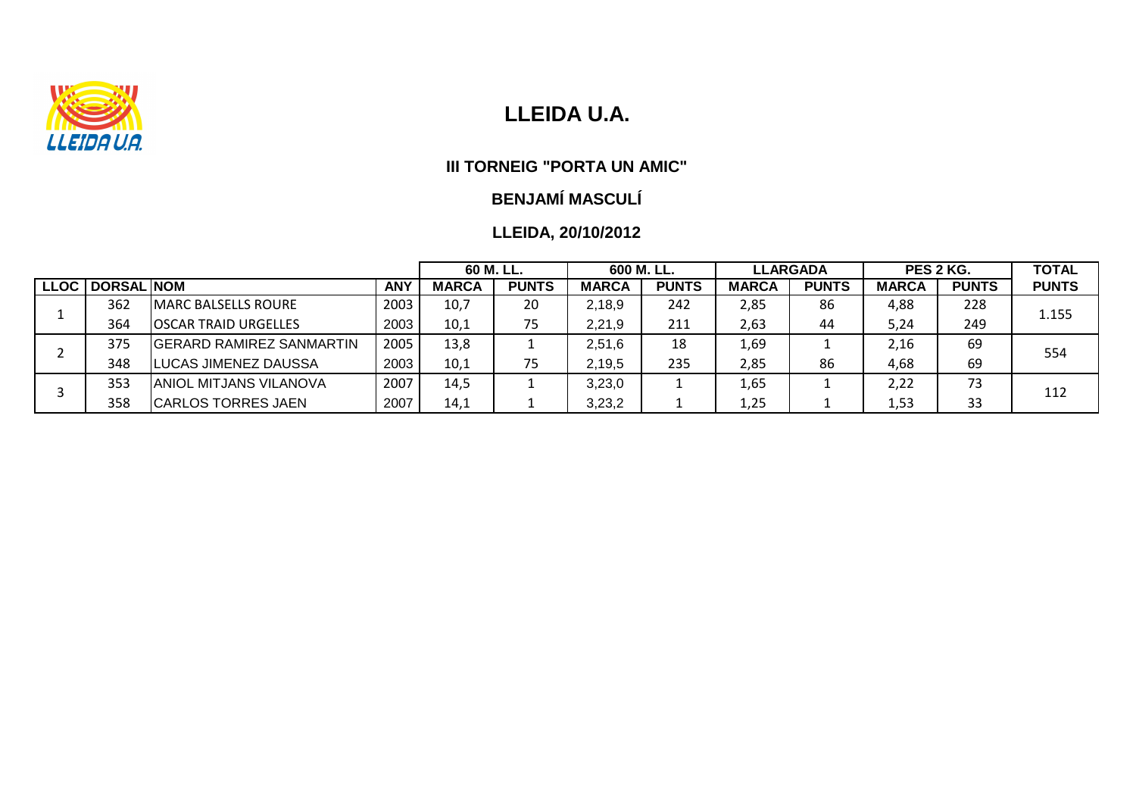

#### **III TORNEIG "PORTA UN AMIC"**

# **BENJAMÍ MASCULÍ**

|             |            |                             |            | 60 M. LL.    |              | 600 M. LL.   |              |              | <b>LLARGADA</b> | PES 2 KG.    |              | <b>TOTAL</b> |
|-------------|------------|-----------------------------|------------|--------------|--------------|--------------|--------------|--------------|-----------------|--------------|--------------|--------------|
| <b>LLOC</b> | DORSAL NOM |                             | <b>ANY</b> | <b>MARCA</b> | <b>PUNTS</b> | <b>MARCA</b> | <b>PUNTS</b> | <b>MARCA</b> | <b>PUNTS</b>    | <b>MARCA</b> | <b>PUNTS</b> | <b>PUNTS</b> |
|             | 362        | <b>IMARC BALSELLS ROURE</b> | 2003       | 10,7         | 20           | 2,18,9       | 242          | 2,85         | 86              | 4,88         | 228          | 1.155        |
|             | 364        | IOSCAR TRAID URGELLES       | 2003       | 10,1         | 75           | 2,21,9       | 211          | 2,63         | 44              | 5,24         | 249          |              |
|             | 375        | IGERARD RAMIREZ SANMARTIN   | 2005       | 13,8         |              | 2,51,6       | 18           | 1,69         |                 | 2.16         | 69           | 554          |
|             | 348        | <b>LUCAS JIMENEZ DAUSSA</b> | 2003       | 10,1         | 75           | 2,19,5       | 235          | 2,85         | 86              | 4,68         | 69           |              |
|             | 353        | IANIOL MITJANS VILANOVA     | 2007       | 14,5         |              | 3,23,0       |              | 1,65         |                 | 2,22         | 73           | 112          |
|             | 358        | <b>CARLOS TORRES JAEN</b>   | 2007       | 14,1         |              | 3,23,2       |              | 1,25         |                 | 1,53         | 33           |              |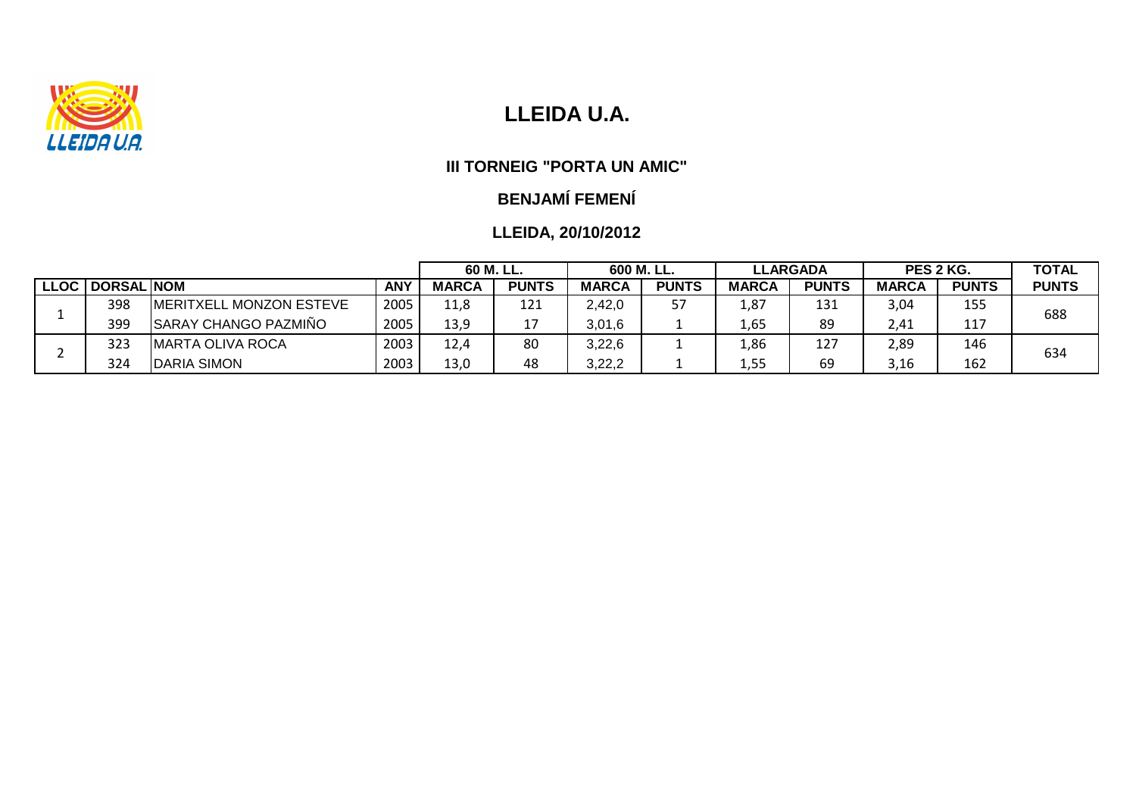

#### **III TORNEIG "PORTA UN AMIC"**

## **BENJAMÍ FEMENÍ**

|                   |                                 | 60 M. LL.  |              | 600 M. LL.   |              | <b>LLARGADA</b> |              | PES 2 KG.    |              | <b>TOTAL</b> |              |
|-------------------|---------------------------------|------------|--------------|--------------|--------------|-----------------|--------------|--------------|--------------|--------------|--------------|
| LLOC   DORSAL NOM |                                 | <b>ANY</b> | <b>MARCA</b> | <b>PUNTS</b> | <b>MARCA</b> | <b>PUNTS</b>    | <b>MARCA</b> | <b>PUNTS</b> | <b>MARCA</b> | <b>PUNTS</b> | <b>PUNTS</b> |
| 398               | <b>IMERITXELL MONZON ESTEVE</b> | 2005       | 11,8         | 121          | 2,42,0       | 57              | 1,87         | 131          | 3,04         | 155          | 688          |
| 399               | <b>SARAY CHANGO PAZMIÑO</b>     | 2005       | 13,9         |              | 3,01,6       |                 | 1,65         | 89           | 2,41         | 117          |              |
| 323               | <b>IMARTA OLIVA ROCA</b>        | 2003       | 12,4         | 80           | 3,22,6       |                 | 1,86         | 127          | 2,89         | 146          | 634          |
| 324               | <b>DARIA SIMON</b>              | 2003       | 13,0         | 48           | 3,22,2       |                 | 1,55         | 69           | 3,16         | 162          |              |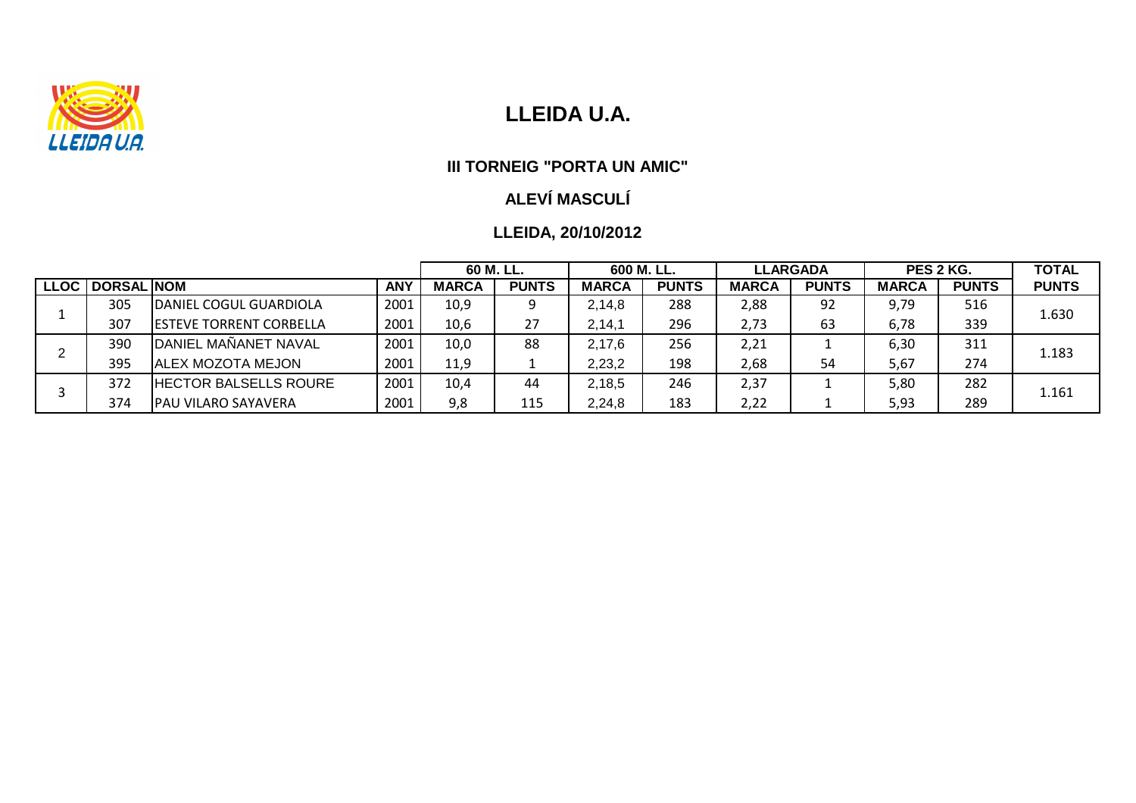

#### **III TORNEIG "PORTA UN AMIC"**

# **ALEVÍ MASCULÍ**

|      |                   |                                 |            |              | 60 M. LL.    |              | 600 M. LL.   |              | <b>LLARGADA</b> |              | PES 2 KG.    |              |
|------|-------------------|---------------------------------|------------|--------------|--------------|--------------|--------------|--------------|-----------------|--------------|--------------|--------------|
| LLOC | <b>DORSAL NOM</b> |                                 | <b>ANY</b> | <b>MARCA</b> | <b>PUNTS</b> | <b>MARCA</b> | <b>PUNTS</b> | <b>MARCA</b> | <b>PUNTS</b>    | <b>MARCA</b> | <b>PUNTS</b> | <b>PUNTS</b> |
|      | 305               | IDANIEL COGUL GUARDIOLA         | 2001       | 10,9         | Q            | 2,14,8       | 288          | 2,88         | 92              | 9,79         | 516          | 1.630        |
|      | 307               | <b>IESTEVE TORRENT CORBELLA</b> | 2001       | 10,6         | 27           | 2, 14, 1     | 296          | 2,73         | 63              | 6,78         | 339          |              |
|      | 390               | DANIEL MANANET NAVAL            | 2001       | 10,0         | 88           | 2,17,6       | 256          | 2,21         |                 | 6,30         | 311          | 1.183        |
|      | 395               | <b>ALEX MOZOTA MEJON</b>        | 2001       | 11.9         |              | 2,23,2       | 198          | 2,68         | 54              | 5,67         | 274          |              |
|      | 372               | <b>HECTOR BALSELLS ROURE</b>    | 2001       | 10,4         | 44           | 2,18,5       | 246          | 2,37         |                 | 5,80         | 282          | 1.161        |
|      | 374               | <b>PAU VILARO SAYAVERA</b>      | 2001       | 9,8          | 115          | 2,24,8       | 183          | 2,22         |                 | 5,93         | 289          |              |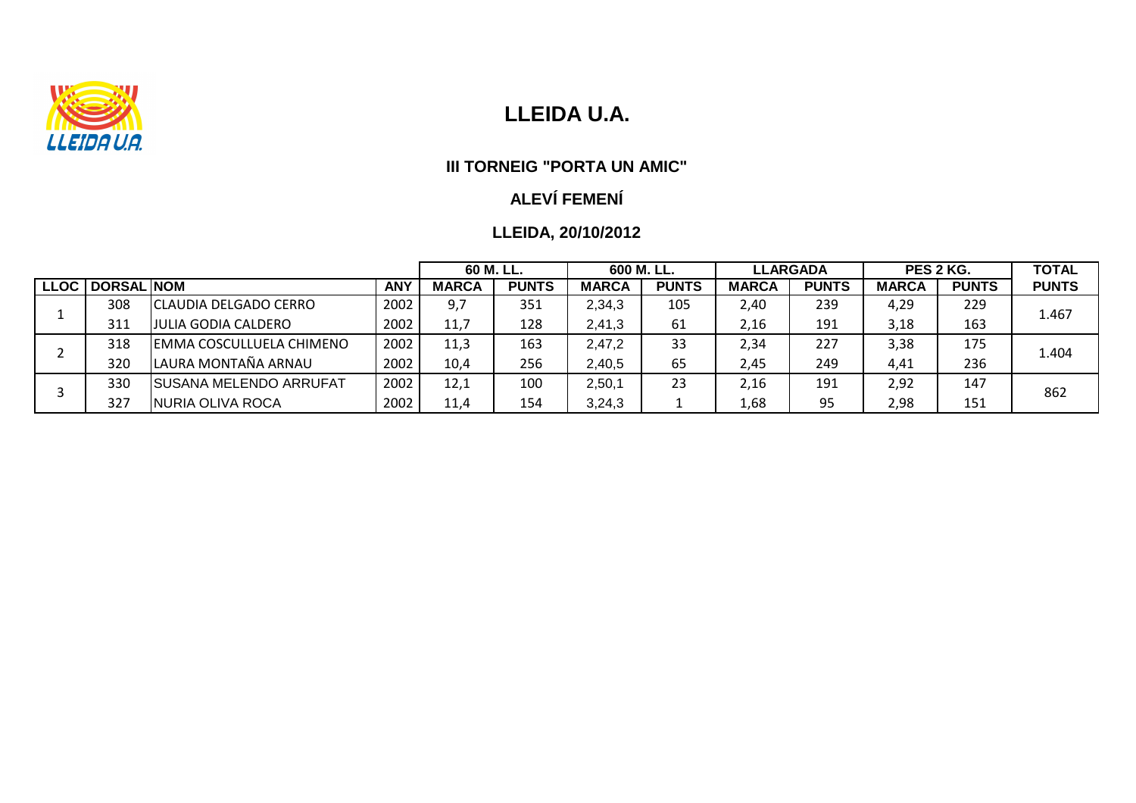

#### **III TORNEIG "PORTA UN AMIC"**

## **ALEVÍ FEMENÍ**

|             |                   |                            |            |              | 60 M. LL.    |              | 600 M. LL.   |              | <b>LLARGADA</b> |              | PES 2 KG.    |              |
|-------------|-------------------|----------------------------|------------|--------------|--------------|--------------|--------------|--------------|-----------------|--------------|--------------|--------------|
| <b>LLOC</b> | <b>DORSAL NOM</b> |                            | <b>ANY</b> | <b>MARCA</b> | <b>PUNTS</b> | <b>MARCA</b> | <b>PUNTS</b> | <b>MARCA</b> | <b>PUNTS</b>    | <b>MARCA</b> | <b>PUNTS</b> | <b>PUNTS</b> |
|             | 308               | CLAUDIA DELGADO CERRO      | 2002       | 9,7          | 351          | 2,34,3       | 105          | 2,40         | 239             | 4,29         | 229          | 1.467        |
|             | 311               | <b>JULIA GODIA CALDERO</b> | 2002       | 11,7         | 128          | 2,41,3       | 61           | 2,16         | 191             | 3,18         | 163          |              |
|             | 318               | IEMMA COSCULLUELA CHIMENO  | 2002       | 11,3         | 163          | 2,47,2       | 33           | 2,34         | 227             | 3,38         | 175          | 1.404        |
|             | 320               | LAURA MONTAÑA ARNAU        | 2002       | 10,4         | 256          | 2,40,5       | 65           | 2,45         | 249             | 4,41         | 236          |              |
|             | 330               | ISUSANA MELENDO ARRUFAT    | 2002       | 12,1         | 100          | 2,50,1       | 23           | 2,16         | 191             | 2,92         | 147          | 862          |
|             | 327               | NURIA OLIVA ROCA           | 2002       | 11,4         | 154          | 3,24,3       |              | 1,68         | 95              | 2,98         | 151          |              |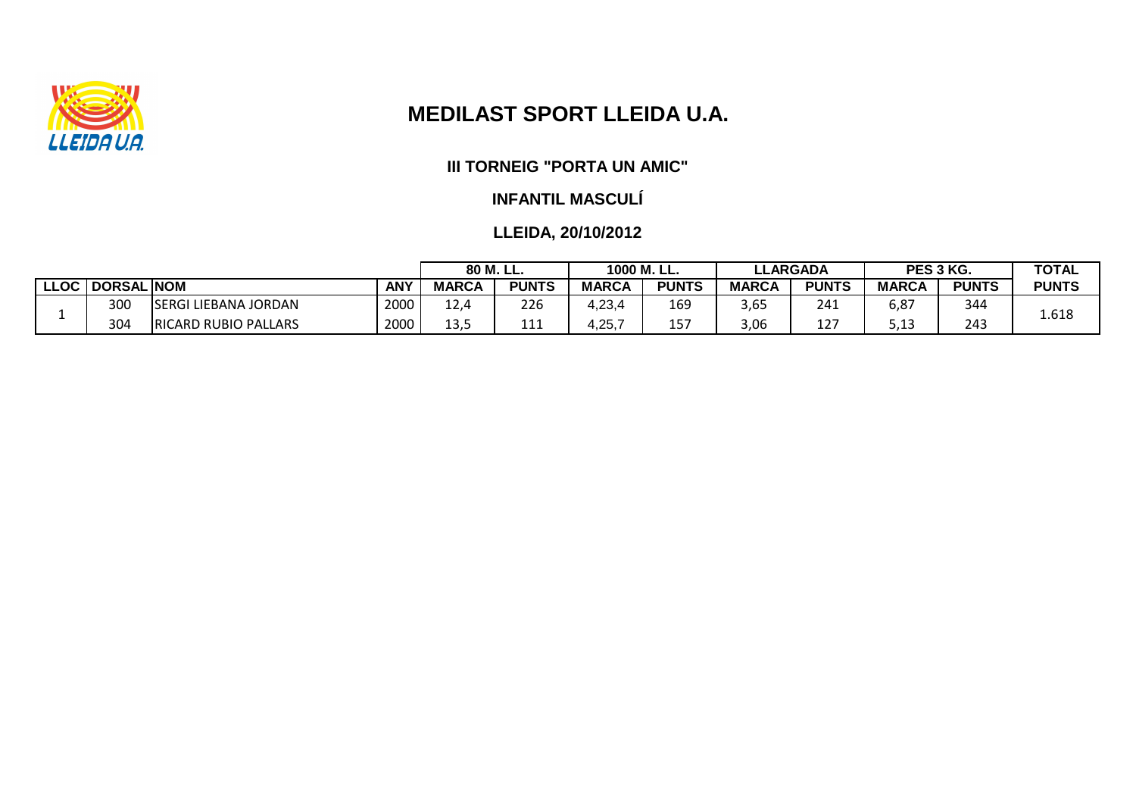

# **MEDILAST SPORT LLEIDA U.A.**

#### **III TORNEIG "PORTA UN AMIC"**

#### **INFANTIL MASCULÍ**

|                           |                    |                             | 80 M. LL.  |              | 1000 M. LL.  |              | <b>LLARGADA</b> |              | PES 3 KG.                 |              | <b>TOTAL</b> |              |
|---------------------------|--------------------|-----------------------------|------------|--------------|--------------|--------------|-----------------|--------------|---------------------------|--------------|--------------|--------------|
| $\mathsf{L} \mathsf{LOC}$ | <b>HDORSAL NOM</b> |                             | <b>ANY</b> | <b>MARCA</b> | <b>PUNTS</b> | <b>MARCA</b> | <b>PUNTS</b>    | <b>MARCA</b> | <b>PUNTS</b>              | <b>MARCA</b> | <b>PUNTS</b> | <b>PUNTS</b> |
|                           | 300                | <b>SERGI LIEBANA JORDAN</b> | 2000       | 12,4         | 226          | 4,23,4       | 169             | 3,65         | 241                       | 6,87         | 344          | 1.618        |
|                           | 304                | <b>RICARD RUBIO PALLARS</b> | 2000       | 13,5         | ᆂᆂᆂ          | .25,7        | 157             | 3,06         | $\sim$ $\sim$ $\sim$<br>ᅩ | ---          | 243          |              |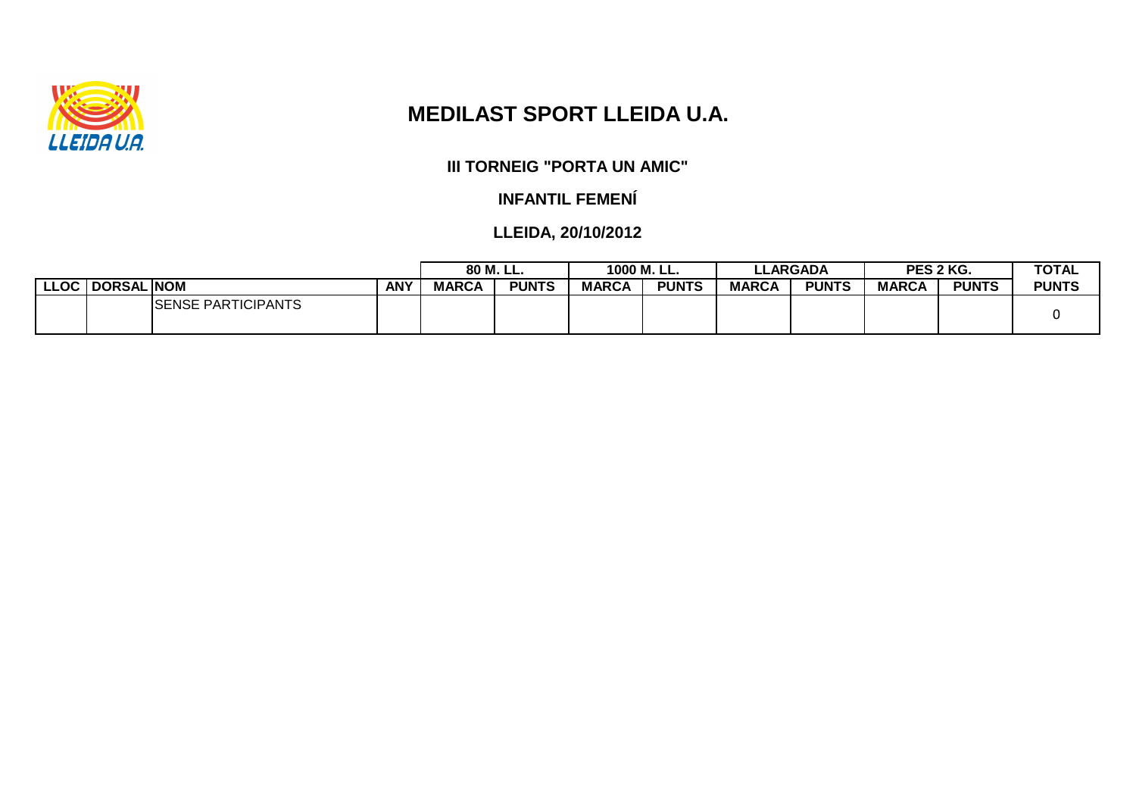

# **MEDILAST SPORT LLEIDA U.A.**

**III TORNEIG "PORTA UN AMIC"**

**INFANTIL FEMENÍ**

|                   |                            |            | 80 M. LL.    |              | 1000 M. LL.  |              | <b>LLARGADA</b> |              | PES 2 KG.    |              | <b>TOTAL</b> |
|-------------------|----------------------------|------------|--------------|--------------|--------------|--------------|-----------------|--------------|--------------|--------------|--------------|
| LLOC   DORSAL NOM |                            | <b>ANY</b> | <b>MARCA</b> | <b>PUNTS</b> | <b>MARCA</b> | <b>PUNTS</b> | <b>MARCA</b>    | <b>PUNTS</b> | <b>MARCA</b> | <b>PUNTS</b> | <b>PUNTS</b> |
|                   | <b>ISENSE PARTICIPANTS</b> |            |              |              |              |              |                 |              |              |              |              |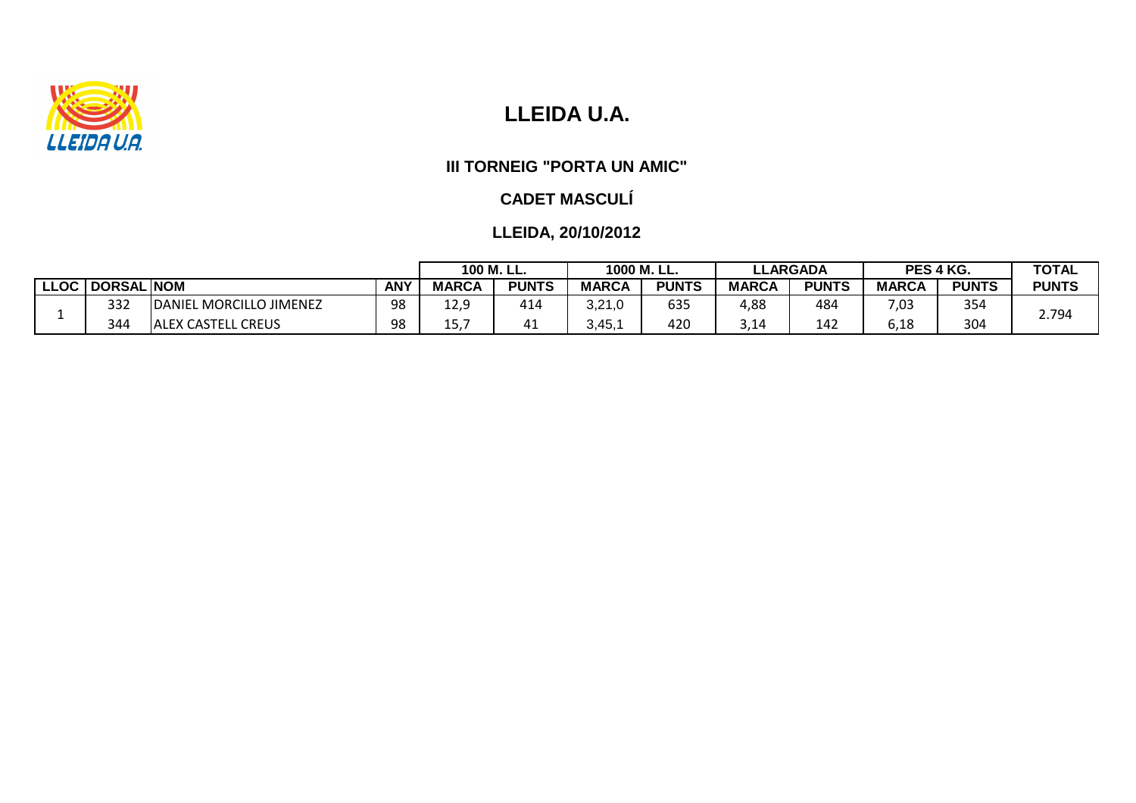

## **III TORNEIG "PORTA UN AMIC"**

## **CADET MASCULÍ**

|            |                   | 100 M. LL.                    |            | 1000 M. LL.  |              | <b>LLARGADA</b>  |              | PES 4 KG.    |              | <b>TOTAL</b> |              |              |
|------------|-------------------|-------------------------------|------------|--------------|--------------|------------------|--------------|--------------|--------------|--------------|--------------|--------------|
| <b>LOC</b> | <b>DORSAL NOM</b> |                               | <b>ANY</b> | <b>MARCA</b> | <b>PUNTS</b> | <b>MARCA</b>     | <b>PUNTS</b> | <b>MARCA</b> | <b>PUNTS</b> | <b>MARCA</b> | <b>PUNTS</b> | <b>PUNTS</b> |
|            | 332               | DANIEL MORCILLO JIMENEZ       | 98         | 120<br>14,J  | 414          | ח ו-חי<br>ا ے, ب | 635          | 4,88         | 484          | 7,03         | 354          | 2.794        |
|            | 344               | <b>CREUS</b><br>IALEX CASTELL | 98         | ∸J,          | 4⊥           | $3,45,^{\prime}$ | 420          | 3,14         | 142          | 6,18         | 304          |              |